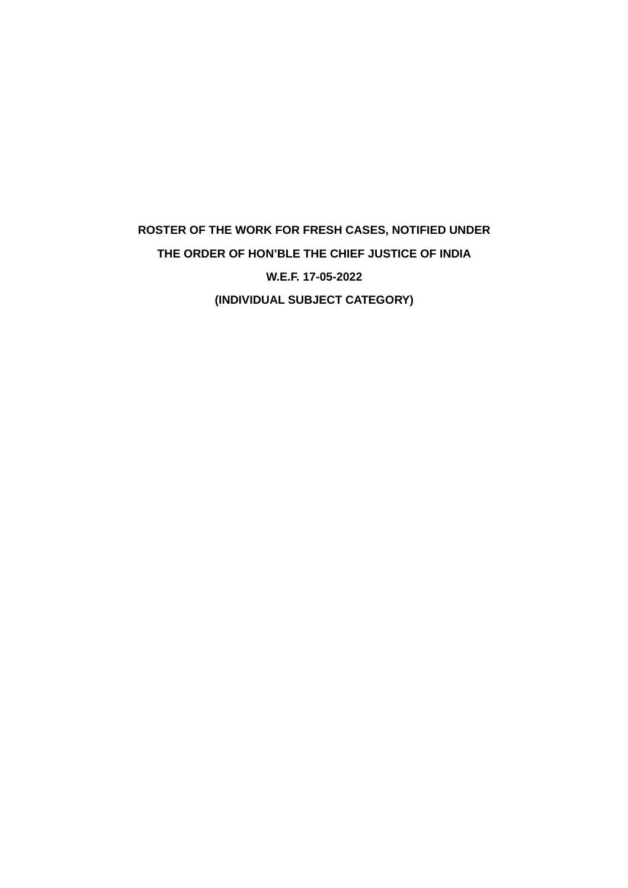# **ROSTER OF THE WORK FOR FRESH CASES, NOTIFIED UNDER THE ORDER OF HON'BLE THE CHIEF JUSTICE OF INDIA W.E.F. 17-05-2022 (INDIVIDUAL SUBJECT CATEGORY)**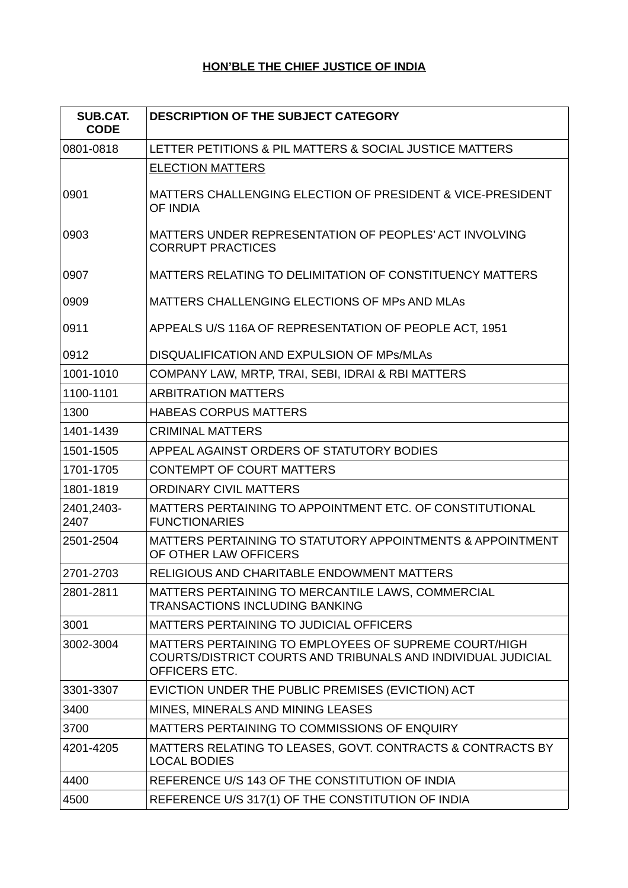# **HON'BLE THE CHIEF JUSTICE OF INDIA**

| <b>SUB.CAT.</b><br><b>CODE</b> | <b>DESCRIPTION OF THE SUBJECT CATEGORY</b>                                                                                             |
|--------------------------------|----------------------------------------------------------------------------------------------------------------------------------------|
| 0801-0818                      | LETTER PETITIONS & PIL MATTERS & SOCIAL JUSTICE MATTERS                                                                                |
|                                | <b>ELECTION MATTERS</b>                                                                                                                |
| 0901                           | MATTERS CHALLENGING ELECTION OF PRESIDENT & VICE-PRESIDENT<br>OF INDIA                                                                 |
| 0903                           | MATTERS UNDER REPRESENTATION OF PEOPLES' ACT INVOLVING<br><b>CORRUPT PRACTICES</b>                                                     |
| 0907                           | MATTERS RELATING TO DELIMITATION OF CONSTITUENCY MATTERS                                                                               |
| 0909                           | MATTERS CHALLENGING ELECTIONS OF MPS AND MLAS                                                                                          |
| 0911                           | APPEALS U/S 116A OF REPRESENTATION OF PEOPLE ACT, 1951                                                                                 |
| 0912                           | DISQUALIFICATION AND EXPULSION OF MPS/MLAS                                                                                             |
| 1001-1010                      | COMPANY LAW, MRTP, TRAI, SEBI, IDRAI & RBI MATTERS                                                                                     |
| 1100-1101                      | <b>ARBITRATION MATTERS</b>                                                                                                             |
| 1300                           | <b>HABEAS CORPUS MATTERS</b>                                                                                                           |
| 1401-1439                      | <b>CRIMINAL MATTERS</b>                                                                                                                |
| 1501-1505                      | APPEAL AGAINST ORDERS OF STATUTORY BODIES                                                                                              |
| 1701-1705                      | <b>CONTEMPT OF COURT MATTERS</b>                                                                                                       |
| 1801-1819                      | <b>ORDINARY CIVIL MATTERS</b>                                                                                                          |
| 2401,2403-<br>2407             | MATTERS PERTAINING TO APPOINTMENT ETC. OF CONSTITUTIONAL<br><b>FUNCTIONARIES</b>                                                       |
| 2501-2504                      | MATTERS PERTAINING TO STATUTORY APPOINTMENTS & APPOINTMENT<br>OF OTHER LAW OFFICERS                                                    |
| 2701-2703                      | RELIGIOUS AND CHARITABLE ENDOWMENT MATTERS                                                                                             |
| 2801-2811                      | MATTERS PERTAINING TO MERCANTILE LAWS, COMMERCIAL<br><b>TRANSACTIONS INCLUDING BANKING</b>                                             |
| 3001                           | MATTERS PERTAINING TO JUDICIAL OFFICERS                                                                                                |
| 3002-3004                      | MATTERS PERTAINING TO EMPLOYEES OF SUPREME COURT/HIGH<br>COURTS/DISTRICT COURTS AND TRIBUNALS AND INDIVIDUAL JUDICIAL<br>OFFICERS ETC. |
| 3301-3307                      | EVICTION UNDER THE PUBLIC PREMISES (EVICTION) ACT                                                                                      |
| 3400                           | MINES, MINERALS AND MINING LEASES                                                                                                      |
| 3700                           | MATTERS PERTAINING TO COMMISSIONS OF ENQUIRY                                                                                           |
| 4201-4205                      | MATTERS RELATING TO LEASES, GOVT. CONTRACTS & CONTRACTS BY<br><b>LOCAL BODIES</b>                                                      |
| 4400                           | REFERENCE U/S 143 OF THE CONSTITUTION OF INDIA                                                                                         |
| 4500                           | REFERENCE U/S 317(1) OF THE CONSTITUTION OF INDIA                                                                                      |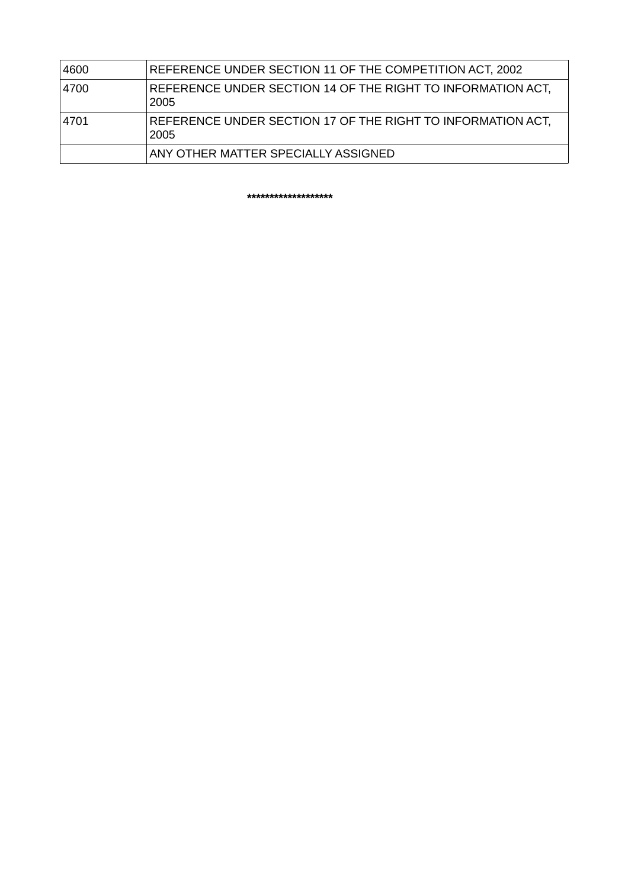| 4600 | REFERENCE UNDER SECTION 11 OF THE COMPETITION ACT, 2002             |
|------|---------------------------------------------------------------------|
| 4700 | REFERENCE UNDER SECTION 14 OF THE RIGHT TO INFORMATION ACT.<br>2005 |
| 4701 | REFERENCE UNDER SECTION 17 OF THE RIGHT TO INFORMATION ACT,<br>2005 |
|      | ANY OTHER MATTER SPECIALLY ASSIGNED                                 |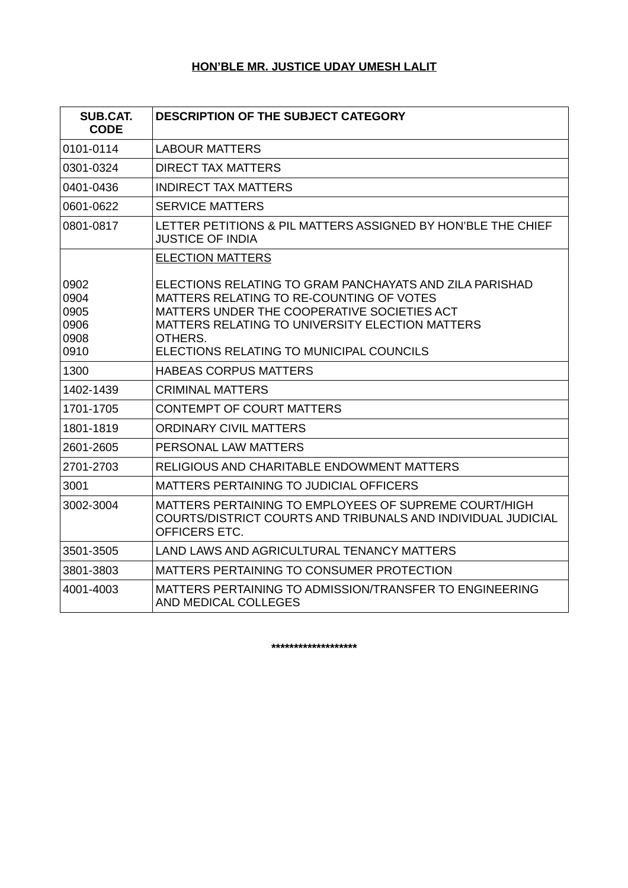# **HON'BLE MR. JUSTICE UDAY UMESH LALIT**

| SUB.CAT.<br><b>CODE</b>                      | <b>DESCRIPTION OF THE SUBJECT CATEGORY</b>                                                                                                                                                                                                                   |
|----------------------------------------------|--------------------------------------------------------------------------------------------------------------------------------------------------------------------------------------------------------------------------------------------------------------|
| 0101-0114                                    | LABOUR MATTERS                                                                                                                                                                                                                                               |
| 0301-0324                                    | <b>DIRECT TAX MATTERS</b>                                                                                                                                                                                                                                    |
| 0401-0436                                    | <b>INDIRECT TAX MATTERS</b>                                                                                                                                                                                                                                  |
| 0601-0622                                    | <b>SERVICE MATTERS</b>                                                                                                                                                                                                                                       |
| 0801-0817                                    | LETTER PETITIONS & PIL MATTERS ASSIGNED BY HON'BLE THE CHIEF<br><b>JUSTICE OF INDIA</b>                                                                                                                                                                      |
|                                              | <b>ELECTION MATTERS</b>                                                                                                                                                                                                                                      |
| 0902<br>0904<br>0905<br>0906<br>0908<br>0910 | ELECTIONS RELATING TO GRAM PANCHAYATS AND ZILA PARISHAD<br>MATTERS RELATING TO RE-COUNTING OF VOTES<br>MATTERS UNDER THE COOPERATIVE SOCIETIES ACT<br>MATTERS RELATING TO UNIVERSITY ELECTION MATTERS<br>OTHERS.<br>ELECTIONS RELATING TO MUNICIPAL COUNCILS |
| 1300                                         | <b>HABEAS CORPUS MATTERS</b>                                                                                                                                                                                                                                 |
| 1402-1439                                    | <b>CRIMINAL MATTERS</b>                                                                                                                                                                                                                                      |
| 1701-1705                                    | <b>CONTEMPT OF COURT MATTERS</b>                                                                                                                                                                                                                             |
| 1801-1819                                    | ORDINARY CIVIL MATTERS                                                                                                                                                                                                                                       |
| 2601-2605                                    | PERSONAL LAW MATTERS                                                                                                                                                                                                                                         |
| 2701-2703                                    | RELIGIOUS AND CHARITABLE ENDOWMENT MATTERS                                                                                                                                                                                                                   |
| 3001                                         | MATTERS PERTAINING TO JUDICIAL OFFICERS                                                                                                                                                                                                                      |
| 3002-3004                                    | MATTERS PERTAINING TO EMPLOYEES OF SUPREME COURT/HIGH<br>COURTS/DISTRICT COURTS AND TRIBUNALS AND INDIVIDUAL JUDICIAL<br>OFFICERS ETC.                                                                                                                       |
| 3501-3505                                    | LAND LAWS AND AGRICULTURAL TENANCY MATTERS                                                                                                                                                                                                                   |
| 3801-3803                                    | MATTERS PERTAINING TO CONSUMER PROTECTION                                                                                                                                                                                                                    |
| 4001-4003                                    | MATTERS PERTAINING TO ADMISSION/TRANSFER TO ENGINEERING<br>AND MEDICAL COLLEGES                                                                                                                                                                              |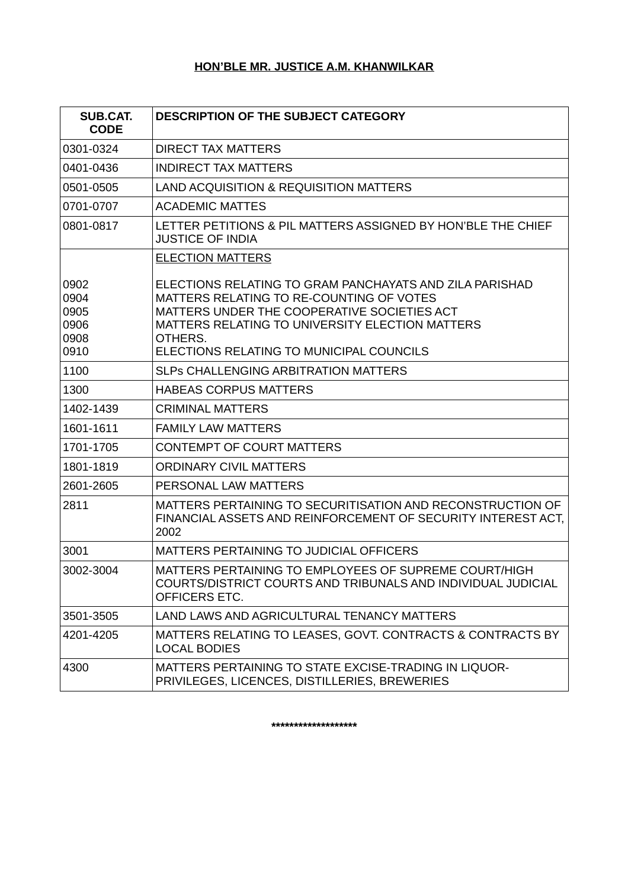# **HON'BLE MR. JUSTICE A.M. KHANWILKAR**

| <b>SUB.CAT.</b><br><b>CODE</b>               | <b>DESCRIPTION OF THE SUBJECT CATEGORY</b>                                                                                                                                                                                                                   |
|----------------------------------------------|--------------------------------------------------------------------------------------------------------------------------------------------------------------------------------------------------------------------------------------------------------------|
| 0301-0324                                    | <b>DIRECT TAX MATTERS</b>                                                                                                                                                                                                                                    |
| 0401-0436                                    | <b>INDIRECT TAX MATTERS</b>                                                                                                                                                                                                                                  |
| 0501-0505                                    | LAND ACQUISITION & REQUISITION MATTERS                                                                                                                                                                                                                       |
| 0701-0707                                    | <b>ACADEMIC MATTES</b>                                                                                                                                                                                                                                       |
| 0801-0817                                    | LETTER PETITIONS & PIL MATTERS ASSIGNED BY HON'BLE THE CHIEF<br><b>JUSTICE OF INDIA</b>                                                                                                                                                                      |
|                                              | <b>ELECTION MATTERS</b>                                                                                                                                                                                                                                      |
| 0902<br>0904<br>0905<br>0906<br>0908<br>0910 | ELECTIONS RELATING TO GRAM PANCHAYATS AND ZILA PARISHAD<br>MATTERS RELATING TO RE-COUNTING OF VOTES<br>MATTERS UNDER THE COOPERATIVE SOCIETIES ACT<br>MATTERS RELATING TO UNIVERSITY ELECTION MATTERS<br>OTHERS.<br>ELECTIONS RELATING TO MUNICIPAL COUNCILS |
| 1100                                         | <b>SLPS CHALLENGING ARBITRATION MATTERS</b>                                                                                                                                                                                                                  |
| 1300                                         | <b>HABEAS CORPUS MATTERS</b>                                                                                                                                                                                                                                 |
| 1402-1439                                    | <b>CRIMINAL MATTERS</b>                                                                                                                                                                                                                                      |
| 1601-1611                                    | <b>FAMILY LAW MATTERS</b>                                                                                                                                                                                                                                    |
| 1701-1705                                    | <b>CONTEMPT OF COURT MATTERS</b>                                                                                                                                                                                                                             |
| 1801-1819                                    | <b>ORDINARY CIVIL MATTERS</b>                                                                                                                                                                                                                                |
| 2601-2605                                    | PERSONAL LAW MATTERS                                                                                                                                                                                                                                         |
| 2811                                         | MATTERS PERTAINING TO SECURITISATION AND RECONSTRUCTION OF<br>FINANCIAL ASSETS AND REINFORCEMENT OF SECURITY INTEREST ACT,<br>2002                                                                                                                           |
| 3001                                         | MATTERS PERTAINING TO JUDICIAL OFFICERS                                                                                                                                                                                                                      |
| 3002-3004                                    | MATTERS PERTAINING TO EMPLOYEES OF SUPREME COURT/HIGH<br>COURTS/DISTRICT COURTS AND TRIBUNALS AND INDIVIDUAL JUDICIAL<br>OFFICERS ETC.                                                                                                                       |
| 3501-3505                                    | LAND LAWS AND AGRICULTURAL TENANCY MATTERS                                                                                                                                                                                                                   |
| 4201-4205                                    | MATTERS RELATING TO LEASES, GOVT. CONTRACTS & CONTRACTS BY<br><b>LOCAL BODIES</b>                                                                                                                                                                            |
| 4300                                         | MATTERS PERTAINING TO STATE EXCISE-TRADING IN LIQUOR-<br>PRIVILEGES, LICENCES, DISTILLERIES, BREWERIES                                                                                                                                                       |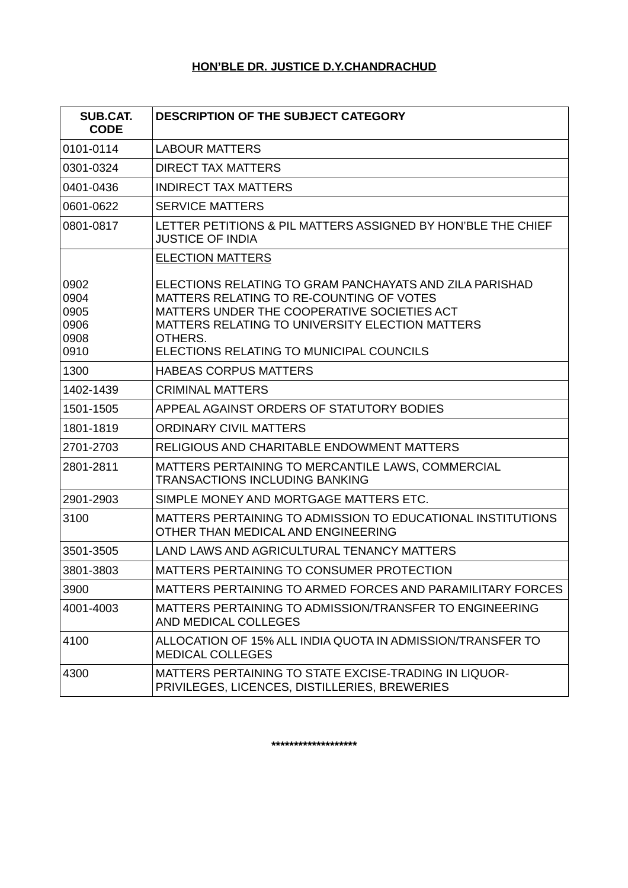# **HON'BLE DR. JUSTICE D.Y.CHANDRACHUD**

| <b>SUB.CAT.</b><br><b>CODE</b>               | <b>DESCRIPTION OF THE SUBJECT CATEGORY</b>                                                                                                                                                                                                                   |
|----------------------------------------------|--------------------------------------------------------------------------------------------------------------------------------------------------------------------------------------------------------------------------------------------------------------|
| 0101-0114                                    | <b>LABOUR MATTERS</b>                                                                                                                                                                                                                                        |
| 0301-0324                                    | <b>DIRECT TAX MATTERS</b>                                                                                                                                                                                                                                    |
| 0401-0436                                    | <b>INDIRECT TAX MATTERS</b>                                                                                                                                                                                                                                  |
| 0601-0622                                    | <b>SERVICE MATTERS</b>                                                                                                                                                                                                                                       |
| 0801-0817                                    | LETTER PETITIONS & PIL MATTERS ASSIGNED BY HON'BLE THE CHIEF<br><b>JUSTICE OF INDIA</b>                                                                                                                                                                      |
|                                              | <b>ELECTION MATTERS</b>                                                                                                                                                                                                                                      |
| 0902<br>0904<br>0905<br>0906<br>0908<br>0910 | ELECTIONS RELATING TO GRAM PANCHAYATS AND ZILA PARISHAD<br>MATTERS RELATING TO RE-COUNTING OF VOTES<br>MATTERS UNDER THE COOPERATIVE SOCIETIES ACT<br>MATTERS RELATING TO UNIVERSITY ELECTION MATTERS<br>OTHERS.<br>ELECTIONS RELATING TO MUNICIPAL COUNCILS |
| 1300                                         | <b>HABEAS CORPUS MATTERS</b>                                                                                                                                                                                                                                 |
| 1402-1439                                    | <b>CRIMINAL MATTERS</b>                                                                                                                                                                                                                                      |
| 1501-1505                                    | APPEAL AGAINST ORDERS OF STATUTORY BODIES                                                                                                                                                                                                                    |
| 1801-1819                                    | <b>ORDINARY CIVIL MATTERS</b>                                                                                                                                                                                                                                |
| 2701-2703                                    | RELIGIOUS AND CHARITABLE ENDOWMENT MATTERS                                                                                                                                                                                                                   |
| 2801-2811                                    | MATTERS PERTAINING TO MERCANTILE LAWS, COMMERCIAL<br><b>TRANSACTIONS INCLUDING BANKING</b>                                                                                                                                                                   |
| 2901-2903                                    | SIMPLE MONEY AND MORTGAGE MATTERS ETC.                                                                                                                                                                                                                       |
| 3100                                         | MATTERS PERTAINING TO ADMISSION TO EDUCATIONAL INSTITUTIONS<br>OTHER THAN MEDICAL AND ENGINEERING                                                                                                                                                            |
| 3501-3505                                    | LAND LAWS AND AGRICULTURAL TENANCY MATTERS                                                                                                                                                                                                                   |
| 3801-3803                                    | MATTERS PERTAINING TO CONSUMER PROTECTION                                                                                                                                                                                                                    |
| 3900                                         | MATTERS PERTAINING TO ARMED FORCES AND PARAMILITARY FORCES                                                                                                                                                                                                   |
| 4001-4003                                    | MATTERS PERTAINING TO ADMISSION/TRANSFER TO ENGINEERING<br>AND MEDICAL COLLEGES                                                                                                                                                                              |
| 4100                                         | ALLOCATION OF 15% ALL INDIA QUOTA IN ADMISSION/TRANSFER TO<br><b>MEDICAL COLLEGES</b>                                                                                                                                                                        |
| 4300                                         | MATTERS PERTAINING TO STATE EXCISE-TRADING IN LIQUOR-<br>PRIVILEGES, LICENCES, DISTILLERIES, BREWERIES                                                                                                                                                       |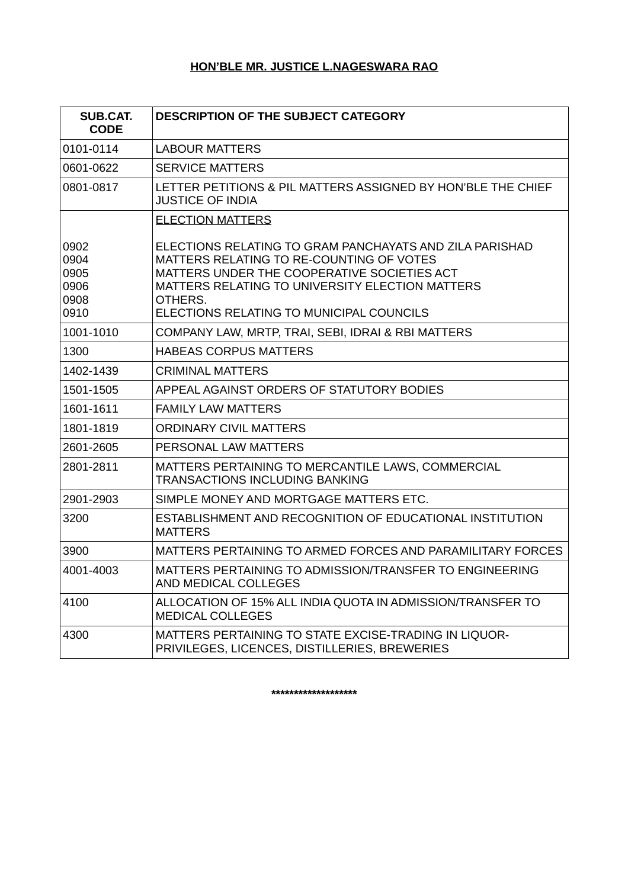# **HON'BLE MR. JUSTICE L.NAGESWARA RAO**

| <b>SUB.CAT.</b><br><b>CODE</b>               | <b>DESCRIPTION OF THE SUBJECT CATEGORY</b>                                                                                                                                                                                                                   |
|----------------------------------------------|--------------------------------------------------------------------------------------------------------------------------------------------------------------------------------------------------------------------------------------------------------------|
| 0101-0114                                    | <b>LABOUR MATTERS</b>                                                                                                                                                                                                                                        |
| 0601-0622                                    | <b>SERVICE MATTERS</b>                                                                                                                                                                                                                                       |
| 0801-0817                                    | LETTER PETITIONS & PIL MATTERS ASSIGNED BY HON'BLE THE CHIEF<br><b>JUSTICE OF INDIA</b>                                                                                                                                                                      |
|                                              | <b>ELECTION MATTERS</b>                                                                                                                                                                                                                                      |
| 0902<br>0904<br>0905<br>0906<br>0908<br>0910 | ELECTIONS RELATING TO GRAM PANCHAYATS AND ZILA PARISHAD<br>MATTERS RELATING TO RE-COUNTING OF VOTES<br>MATTERS UNDER THE COOPERATIVE SOCIETIES ACT<br>MATTERS RELATING TO UNIVERSITY ELECTION MATTERS<br>OTHERS.<br>ELECTIONS RELATING TO MUNICIPAL COUNCILS |
| 1001-1010                                    | COMPANY LAW, MRTP, TRAI, SEBI, IDRAI & RBI MATTERS                                                                                                                                                                                                           |
| 1300                                         | <b>HABEAS CORPUS MATTERS</b>                                                                                                                                                                                                                                 |
| 1402-1439                                    | <b>CRIMINAL MATTERS</b>                                                                                                                                                                                                                                      |
| 1501-1505                                    | APPEAL AGAINST ORDERS OF STATUTORY BODIES                                                                                                                                                                                                                    |
| 1601-1611                                    | <b>FAMILY LAW MATTERS</b>                                                                                                                                                                                                                                    |
| 1801-1819                                    | ORDINARY CIVIL MATTERS                                                                                                                                                                                                                                       |
| 2601-2605                                    | PERSONAL LAW MATTERS                                                                                                                                                                                                                                         |
| 2801-2811                                    | MATTERS PERTAINING TO MERCANTILE LAWS, COMMERCIAL<br><b>TRANSACTIONS INCLUDING BANKING</b>                                                                                                                                                                   |
| 2901-2903                                    | SIMPLE MONEY AND MORTGAGE MATTERS ETC.                                                                                                                                                                                                                       |
| 3200                                         | ESTABLISHMENT AND RECOGNITION OF EDUCATIONAL INSTITUTION<br><b>MATTERS</b>                                                                                                                                                                                   |
| 3900                                         | MATTERS PERTAINING TO ARMED FORCES AND PARAMILITARY FORCES                                                                                                                                                                                                   |
| 4001-4003                                    | MATTERS PERTAINING TO ADMISSION/TRANSFER TO ENGINEERING<br>AND MEDICAL COLLEGES                                                                                                                                                                              |
| 4100                                         | ALLOCATION OF 15% ALL INDIA QUOTA IN ADMISSION/TRANSFER TO<br><b>MEDICAL COLLEGES</b>                                                                                                                                                                        |
| 4300                                         | MATTERS PERTAINING TO STATE EXCISE-TRADING IN LIQUOR-<br>PRIVILEGES, LICENCES, DISTILLERIES, BREWERIES                                                                                                                                                       |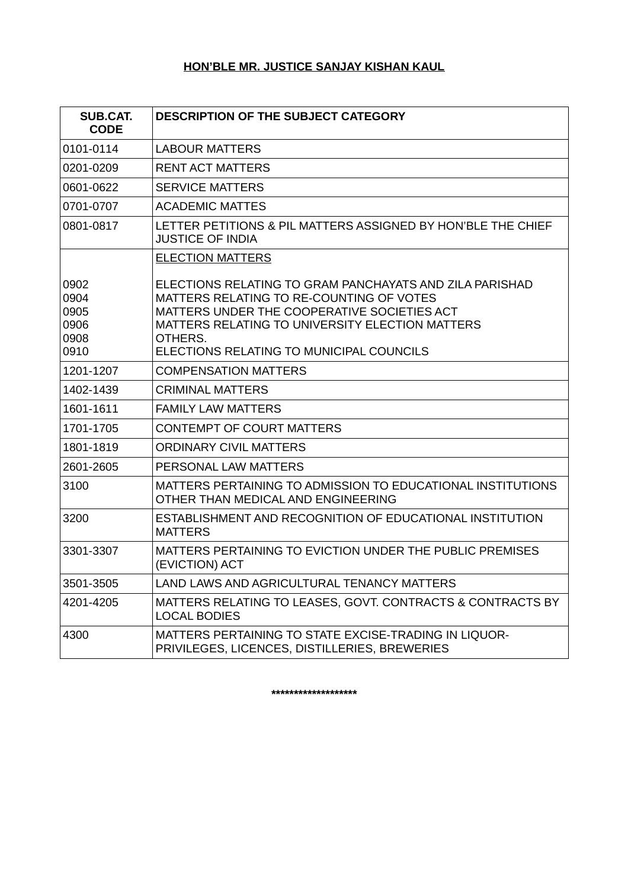# **HON'BLE MR. JUSTICE SANJAY KISHAN KAUL**

| <b>SUB.CAT.</b><br><b>CODE</b>               | <b>DESCRIPTION OF THE SUBJECT CATEGORY</b>                                                                                                                                                                                                                   |
|----------------------------------------------|--------------------------------------------------------------------------------------------------------------------------------------------------------------------------------------------------------------------------------------------------------------|
| 0101-0114                                    | <b>LABOUR MATTERS</b>                                                                                                                                                                                                                                        |
| 0201-0209                                    | <b>RENT ACT MATTERS</b>                                                                                                                                                                                                                                      |
| 0601-0622                                    | <b>SERVICE MATTERS</b>                                                                                                                                                                                                                                       |
| 0701-0707                                    | <b>ACADEMIC MATTES</b>                                                                                                                                                                                                                                       |
| 0801-0817                                    | LETTER PETITIONS & PIL MATTERS ASSIGNED BY HON'BLE THE CHIEF<br><b>JUSTICE OF INDIA</b>                                                                                                                                                                      |
|                                              | <b>ELECTION MATTERS</b>                                                                                                                                                                                                                                      |
| 0902<br>0904<br>0905<br>0906<br>0908<br>0910 | ELECTIONS RELATING TO GRAM PANCHAYATS AND ZILA PARISHAD<br>MATTERS RELATING TO RE-COUNTING OF VOTES<br>MATTERS UNDER THE COOPERATIVE SOCIETIES ACT<br>MATTERS RELATING TO UNIVERSITY ELECTION MATTERS<br>OTHERS.<br>ELECTIONS RELATING TO MUNICIPAL COUNCILS |
| 1201-1207                                    | <b>COMPENSATION MATTERS</b>                                                                                                                                                                                                                                  |
| 1402-1439                                    | <b>CRIMINAL MATTERS</b>                                                                                                                                                                                                                                      |
| 1601-1611                                    | <b>FAMILY LAW MATTERS</b>                                                                                                                                                                                                                                    |
| 1701-1705                                    | <b>CONTEMPT OF COURT MATTERS</b>                                                                                                                                                                                                                             |
| 1801-1819                                    | <b>ORDINARY CIVIL MATTERS</b>                                                                                                                                                                                                                                |
| 2601-2605                                    | PERSONAL LAW MATTERS                                                                                                                                                                                                                                         |
| 3100                                         | MATTERS PERTAINING TO ADMISSION TO EDUCATIONAL INSTITUTIONS<br>OTHER THAN MEDICAL AND ENGINEERING                                                                                                                                                            |
| 3200                                         | ESTABLISHMENT AND RECOGNITION OF EDUCATIONAL INSTITUTION<br><b>MATTERS</b>                                                                                                                                                                                   |
| 3301-3307                                    | MATTERS PERTAINING TO EVICTION UNDER THE PUBLIC PREMISES<br>(EVICTION) ACT                                                                                                                                                                                   |
| 3501-3505                                    | LAND LAWS AND AGRICULTURAL TENANCY MATTERS                                                                                                                                                                                                                   |
| 4201-4205                                    | MATTERS RELATING TO LEASES, GOVT. CONTRACTS & CONTRACTS BY<br><b>LOCAL BODIES</b>                                                                                                                                                                            |
| 4300                                         | MATTERS PERTAINING TO STATE EXCISE-TRADING IN LIQUOR-<br>PRIVILEGES, LICENCES, DISTILLERIES, BREWERIES                                                                                                                                                       |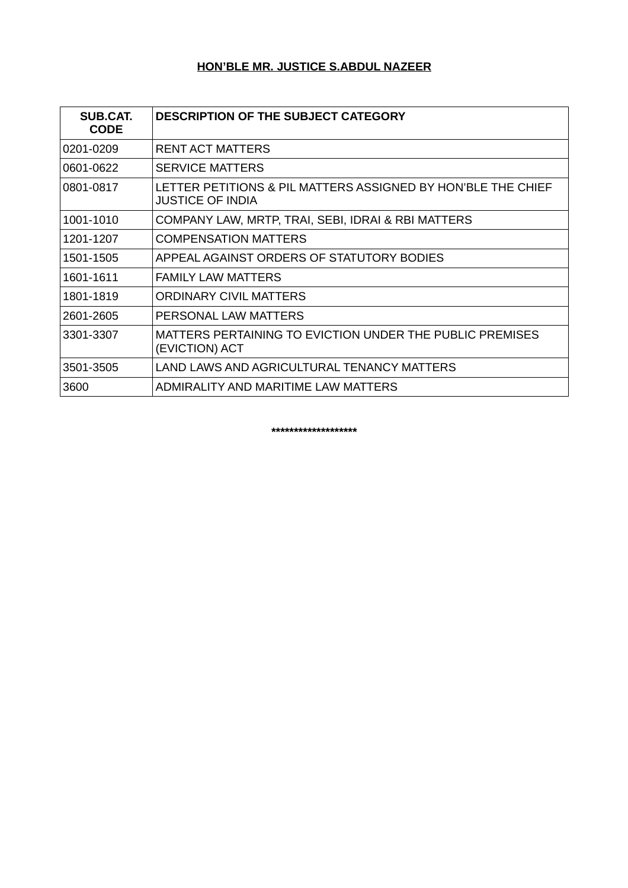# **HON'BLE MR. JUSTICE S.ABDUL NAZEER**

| <b>SUB.CAT.</b><br><b>CODE</b> | <b>DESCRIPTION OF THE SUBJECT CATEGORY</b>                                       |
|--------------------------------|----------------------------------------------------------------------------------|
| 0201-0209                      | RENT ACT MATTERS                                                                 |
| 0601-0622                      | <b>SERVICE MATTERS</b>                                                           |
| 0801-0817                      | LETTER PETITIONS & PIL MATTERS ASSIGNED BY HON'BLE THE CHIEF<br>JUSTICE OF INDIA |
| 1001-1010                      | COMPANY LAW, MRTP, TRAI, SEBI, IDRAI & RBI MATTERS                               |
| 1201-1207                      | <b>COMPENSATION MATTERS</b>                                                      |
| 1501-1505                      | APPEAL AGAINST ORDERS OF STATUTORY BODIES                                        |
| 1601-1611                      | <b>FAMILY LAW MATTERS</b>                                                        |
| 1801-1819                      | ORDINARY CIVIL MATTERS                                                           |
| 2601-2605                      | PERSONAL LAW MATTERS                                                             |
| 3301-3307                      | MATTERS PERTAINING TO EVICTION UNDER THE PUBLIC PREMISES<br>(EVICTION) ACT       |
| 3501-3505                      | LAND LAWS AND AGRICULTURAL TENANCY MATTERS                                       |
| 3600                           | ADMIRALITY AND MARITIME LAW MATTERS                                              |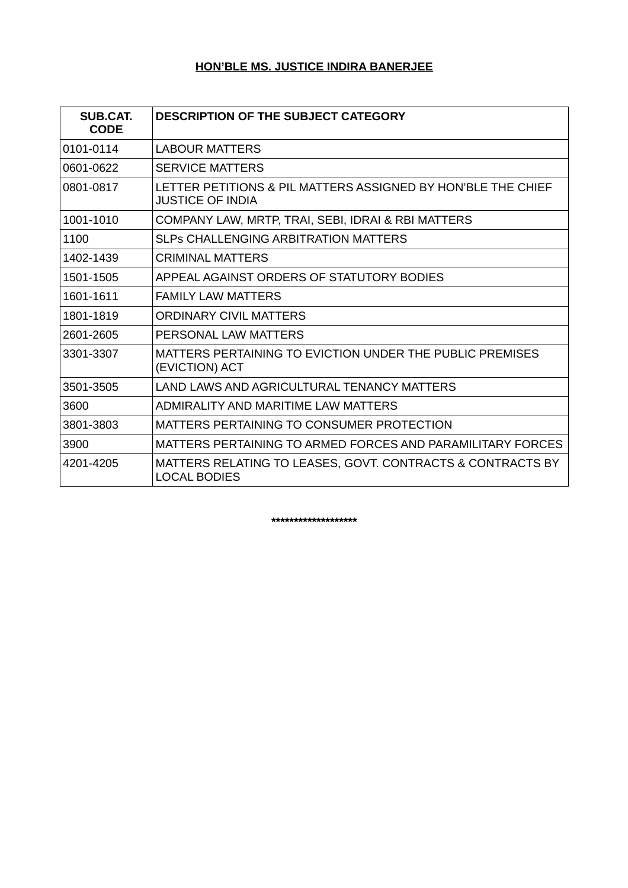# **HON'BLE MS. JUSTICE INDIRA BANERJEE**

| <b>SUB.CAT.</b><br><b>CODE</b> | <b>DESCRIPTION OF THE SUBJECT CATEGORY</b>                                              |
|--------------------------------|-----------------------------------------------------------------------------------------|
| 0101-0114                      | <b>LABOUR MATTERS</b>                                                                   |
| 0601-0622                      | <b>SERVICE MATTERS</b>                                                                  |
| 0801-0817                      | LETTER PETITIONS & PIL MATTERS ASSIGNED BY HON'BLE THE CHIEF<br><b>JUSTICE OF INDIA</b> |
| 1001-1010                      | COMPANY LAW, MRTP, TRAI, SEBI, IDRAI & RBI MATTERS                                      |
| 1100                           | SLPS CHALLENGING ARBITRATION MATTERS                                                    |
| 1402-1439                      | <b>CRIMINAL MATTERS</b>                                                                 |
| 1501-1505                      | APPEAL AGAINST ORDERS OF STATUTORY BODIES                                               |
| 1601-1611                      | <b>FAMILY LAW MATTERS</b>                                                               |
| 1801-1819                      | <b>ORDINARY CIVIL MATTERS</b>                                                           |
| 2601-2605                      | PERSONAL LAW MATTERS                                                                    |
| 3301-3307                      | MATTERS PERTAINING TO EVICTION UNDER THE PUBLIC PREMISES<br>(EVICTION) ACT              |
| 3501-3505                      | LAND LAWS AND AGRICULTURAL TENANCY MATTERS                                              |
| 3600                           | ADMIRALITY AND MARITIME LAW MATTERS                                                     |
| 3801-3803                      | MATTERS PERTAINING TO CONSUMER PROTECTION                                               |
| 3900                           | MATTERS PERTAINING TO ARMED FORCES AND PARAMILITARY FORCES                              |
| 4201-4205                      | MATTERS RELATING TO LEASES, GOVT. CONTRACTS & CONTRACTS BY<br>LOCAL BODIES              |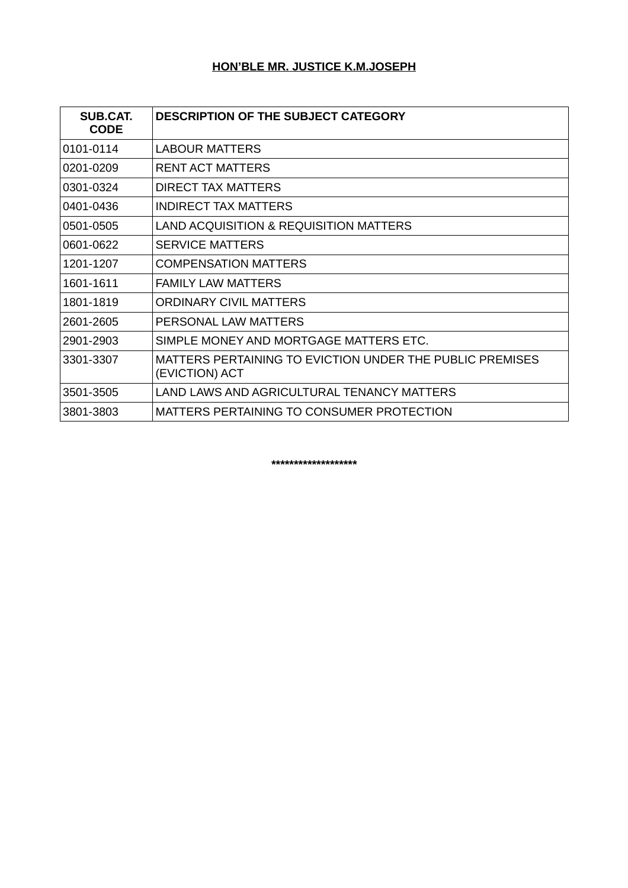# **HON'BLE MR. JUSTICE K.M.JOSEPH**

| SUB.CAT.<br><b>CODE</b> | <b>DESCRIPTION OF THE SUBJECT CATEGORY</b>                                 |
|-------------------------|----------------------------------------------------------------------------|
| 0101-0114               | <b>LABOUR MATTERS</b>                                                      |
| 0201-0209               | <b>RENT ACT MATTERS</b>                                                    |
| 0301-0324               | DIRECT TAX MATTERS                                                         |
| 0401-0436               | <b>INDIRECT TAX MATTERS</b>                                                |
| 0501-0505               | LAND ACQUISITION & REQUISITION MATTERS                                     |
| 0601-0622               | <b>SERVICE MATTERS</b>                                                     |
| 1201-1207               | <b>COMPENSATION MATTERS</b>                                                |
| 1601-1611               | <b>FAMILY LAW MATTERS</b>                                                  |
| 1801-1819               | ORDINARY CIVIL MATTERS                                                     |
| 2601-2605               | PERSONAL LAW MATTERS                                                       |
| 2901-2903               | SIMPLE MONEY AND MORTGAGE MATTERS ETC.                                     |
| 3301-3307               | MATTERS PERTAINING TO EVICTION UNDER THE PUBLIC PREMISES<br>(EVICTION) ACT |
| 3501-3505               | LAND LAWS AND AGRICULTURAL TENANCY MATTERS                                 |
| 3801-3803               | MATTERS PERTAINING TO CONSUMER PROTECTION                                  |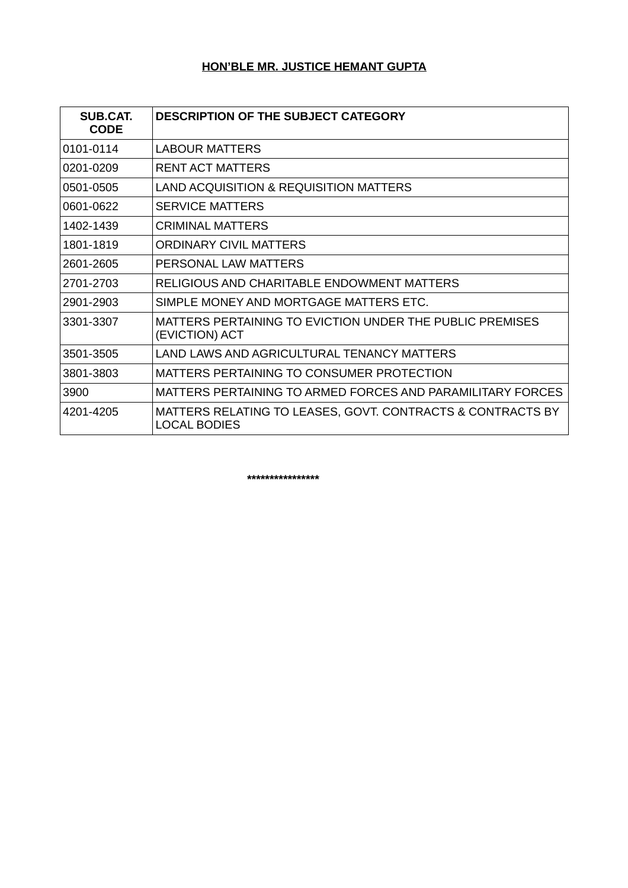# **HON'BLE MR. JUSTICE HEMANT GUPTA**

| <b>SUB.CAT.</b><br><b>CODE</b> | <b>DESCRIPTION OF THE SUBJECT CATEGORY</b>                                        |
|--------------------------------|-----------------------------------------------------------------------------------|
| 0101-0114                      | <b>LABOUR MATTERS</b>                                                             |
| 0201-0209                      | <b>RENT ACT MATTERS</b>                                                           |
| 0501-0505                      | LAND ACQUISITION & REQUISITION MATTERS                                            |
| 0601-0622                      | <b>SERVICE MATTERS</b>                                                            |
| 1402-1439                      | <b>CRIMINAL MATTERS</b>                                                           |
| 1801-1819                      | ORDINARY CIVIL MATTERS                                                            |
| 2601-2605                      | PERSONAL LAW MATTERS                                                              |
| 2701-2703                      | RELIGIOUS AND CHARITABLE ENDOWMENT MATTERS                                        |
| 2901-2903                      | SIMPLE MONEY AND MORTGAGE MATTERS ETC.                                            |
| 3301-3307                      | MATTERS PERTAINING TO EVICTION UNDER THE PUBLIC PREMISES<br>(EVICTION) ACT        |
| 3501-3505                      | LAND LAWS AND AGRICULTURAL TENANCY MATTERS                                        |
| 3801-3803                      | MATTERS PERTAINING TO CONSUMER PROTECTION                                         |
| 3900                           | MATTERS PERTAINING TO ARMED FORCES AND PARAMILITARY FORCES                        |
| 4201-4205                      | MATTERS RELATING TO LEASES, GOVT. CONTRACTS & CONTRACTS BY<br><b>LOCAL BODIES</b> |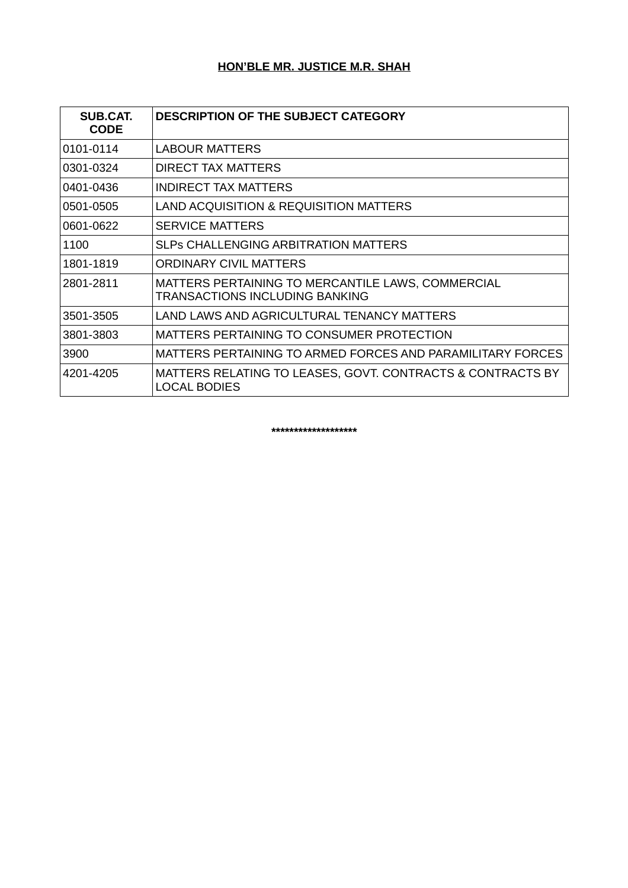# **HON'BLE MR. JUSTICE M.R. SHAH**

| SUB.CAT.<br><b>CODE</b> | <b>DESCRIPTION OF THE SUBJECT CATEGORY</b>                                                 |
|-------------------------|--------------------------------------------------------------------------------------------|
| 0101-0114               | <b>LABOUR MATTERS</b>                                                                      |
| 0301-0324               | DIRECT TAX MATTERS                                                                         |
| 0401-0436               | INDIRECT TAX MATTERS                                                                       |
| 0501-0505               | LAND ACQUISITION & REQUISITION MATTERS                                                     |
| 0601-0622               | <b>SERVICE MATTERS</b>                                                                     |
| 1100                    | <b>SLPS CHALLENGING ARBITRATION MATTERS</b>                                                |
| 1801-1819               | ORDINARY CIVIL MATTERS                                                                     |
| 2801-2811               | MATTERS PERTAINING TO MERCANTILE LAWS, COMMERCIAL<br><b>TRANSACTIONS INCLUDING BANKING</b> |
| 3501-3505               | LAND LAWS AND AGRICULTURAL TENANCY MATTERS                                                 |
| 3801-3803               | MATTERS PERTAINING TO CONSUMER PROTECTION                                                  |
| 3900                    | MATTERS PERTAINING TO ARMED FORCES AND PARAMILITARY FORCES                                 |
| 4201-4205               | MATTERS RELATING TO LEASES, GOVT. CONTRACTS & CONTRACTS BY<br>LOCAL BODIES                 |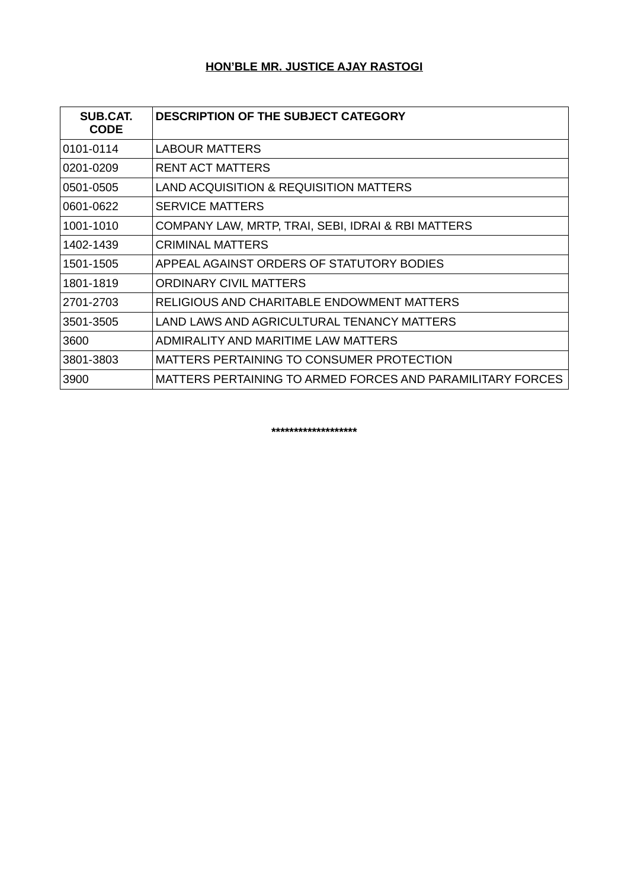# **HON'BLE MR. JUSTICE AJAY RASTOGI**

| SUB.CAT.<br><b>CODE</b> | <b>DESCRIPTION OF THE SUBJECT CATEGORY</b>                 |
|-------------------------|------------------------------------------------------------|
| 0101-0114               | <b>LABOUR MATTERS</b>                                      |
| 0201-0209               | <b>RENT ACT MATTERS</b>                                    |
| 0501-0505               | LAND ACQUISITION & REQUISITION MATTERS                     |
| 0601-0622               | <b>SERVICE MATTERS</b>                                     |
| 1001-1010               | COMPANY LAW, MRTP, TRAI, SEBI, IDRAI & RBI MATTERS         |
| 1402-1439               | <b>CRIMINAL MATTERS</b>                                    |
| 1501-1505               | APPEAL AGAINST ORDERS OF STATUTORY BODIES                  |
| 1801-1819               | <b>ORDINARY CIVIL MATTERS</b>                              |
| 2701-2703               | RELIGIOUS AND CHARITABLE ENDOWMENT MATTERS                 |
| 3501-3505               | LAND LAWS AND AGRICULTURAL TENANCY MATTERS                 |
| 3600                    | ADMIRALITY AND MARITIME LAW MATTERS                        |
| 3801-3803               | MATTERS PERTAINING TO CONSUMER PROTECTION                  |
| 3900                    | MATTERS PERTAINING TO ARMED FORCES AND PARAMILITARY FORCES |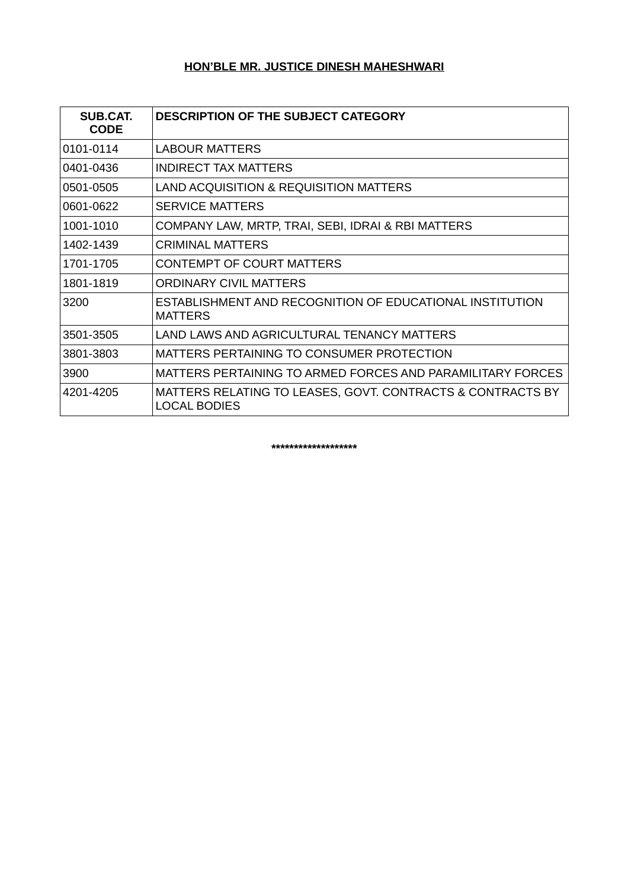### **HON'BLE MR. JUSTICE DINESH MAHESHWARI**

| SUB.CAT.<br><b>CODE</b> | <b>DESCRIPTION OF THE SUBJECT CATEGORY</b>                                        |
|-------------------------|-----------------------------------------------------------------------------------|
| 0101-0114               | <b>LABOUR MATTERS</b>                                                             |
| 0401-0436               | INDIRECT TAX MATTERS                                                              |
| 0501-0505               | LAND ACQUISITION & REQUISITION MATTERS                                            |
| 0601-0622               | <b>SERVICE MATTERS</b>                                                            |
| 1001-1010               | COMPANY LAW, MRTP, TRAI, SEBI, IDRAI & RBI MATTERS                                |
| 1402-1439               | <b>CRIMINAL MATTERS</b>                                                           |
| 1701-1705               | <b>CONTEMPT OF COURT MATTERS</b>                                                  |
| 1801-1819               | ORDINARY CIVIL MATTERS                                                            |
| 3200                    | ESTABLISHMENT AND RECOGNITION OF EDUCATIONAL INSTITUTION<br><b>MATTERS</b>        |
| 3501-3505               | LAND LAWS AND AGRICULTURAL TENANCY MATTERS                                        |
| 3801-3803               | MATTERS PERTAINING TO CONSUMER PROTECTION                                         |
| 3900                    | MATTERS PERTAINING TO ARMED FORCES AND PARAMILITARY FORCES                        |
| 4201-4205               | MATTERS RELATING TO LEASES, GOVT. CONTRACTS & CONTRACTS BY<br><b>LOCAL BODIES</b> |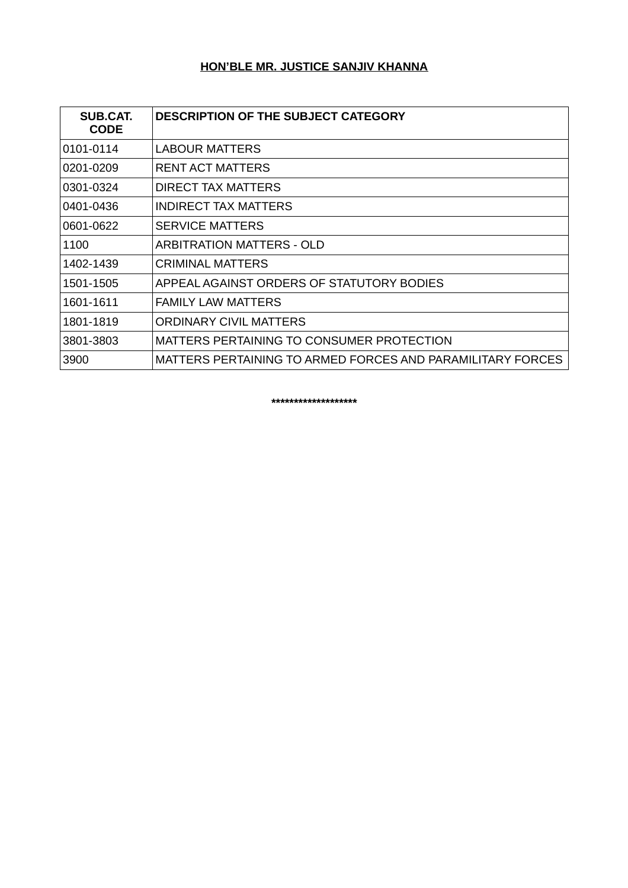# **HON'BLE MR. JUSTICE SANJIV KHANNA**

| SUB.CAT.<br><b>CODE</b> | <b>DESCRIPTION OF THE SUBJECT CATEGORY</b>                 |
|-------------------------|------------------------------------------------------------|
| 0101-0114               | <b>LABOUR MATTERS</b>                                      |
| 0201-0209               | <b>RENT ACT MATTERS</b>                                    |
| 0301-0324               | <b>DIRECT TAX MATTERS</b>                                  |
| 0401-0436               | INDIRECT TAX MATTERS                                       |
| 0601-0622               | <b>SERVICE MATTERS</b>                                     |
| 1100                    | ARBITRATION MATTERS - OLD                                  |
| 1402-1439               | <b>CRIMINAL MATTERS</b>                                    |
| 1501-1505               | APPEAL AGAINST ORDERS OF STATUTORY BODIES                  |
| 1601-1611               | <b>FAMILY LAW MATTERS</b>                                  |
| 1801-1819               | <b>ORDINARY CIVIL MATTERS</b>                              |
| 3801-3803               | MATTERS PERTAINING TO CONSUMER PROTECTION                  |
| 3900                    | MATTERS PERTAINING TO ARMED FORCES AND PARAMILITARY FORCES |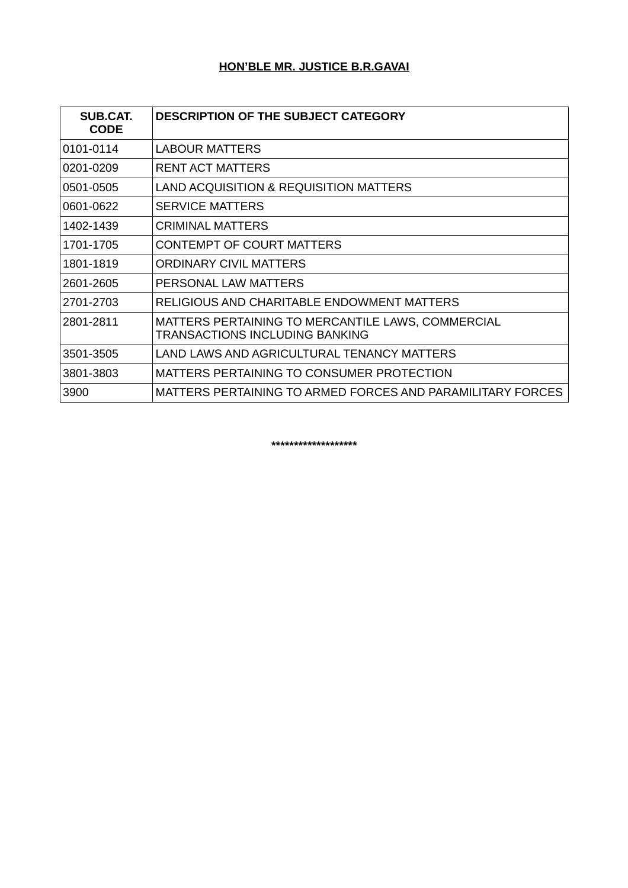# **HON'BLE MR. JUSTICE B.R.GAVAI**

| SUB.CAT.<br><b>CODE</b> | <b>DESCRIPTION OF THE SUBJECT CATEGORY</b>                                          |
|-------------------------|-------------------------------------------------------------------------------------|
| 0101-0114               | <b>LABOUR MATTERS</b>                                                               |
| 0201-0209               | <b>RENT ACT MATTERS</b>                                                             |
| 0501-0505               | LAND ACQUISITION & REQUISITION MATTERS                                              |
| 0601-0622               | <b>SERVICE MATTERS</b>                                                              |
| 1402-1439               | CRIMINAL MATTERS                                                                    |
| 1701-1705               | <b>CONTEMPT OF COURT MATTERS</b>                                                    |
| 1801-1819               | ORDINARY CIVIL MATTERS                                                              |
| 2601-2605               | PERSONAL LAW MATTERS                                                                |
| 2701-2703               | RELIGIOUS AND CHARITABLE ENDOWMENT MATTERS                                          |
| 2801-2811               | MATTERS PERTAINING TO MERCANTILE LAWS, COMMERCIAL<br>TRANSACTIONS INCLUDING BANKING |
| 3501-3505               | LAND LAWS AND AGRICULTURAL TENANCY MATTERS                                          |
| 3801-3803               | MATTERS PERTAINING TO CONSUMER PROTECTION                                           |
| 3900                    | MATTERS PERTAINING TO ARMED FORCES AND PARAMILITARY FORCES                          |